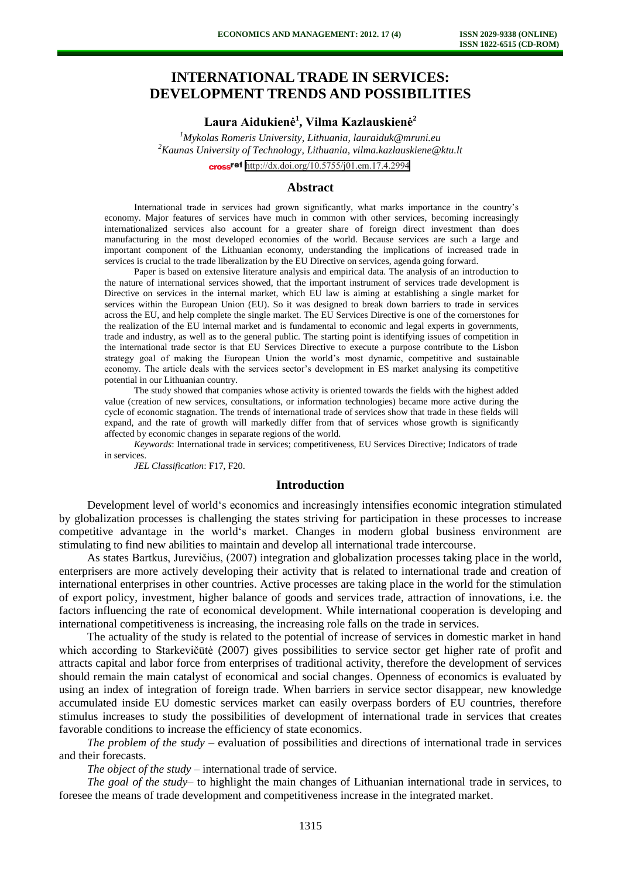# **INTERNATIONAL TRADE IN SERVICES: DEVELOPMENT TRENDS AND POSSIBILITIES**

## **Laura Aidukienė<sup>1</sup> , Vilma Kazlauskienė<sup>2</sup>**

*<sup>1</sup>Mykolas Romeris University, Lithuania, lauraiduk@mruni.eu <sup>2</sup>Kaunas University of Technology, Lithuania, vilma.kazlauskiene@ktu.lt* cross<sup>ref</sup> <http://dx.doi.org/10.5755/j01.em.17.4.2994>

#### **Abstract**

International trade in services had grown significantly, what marks importance in the country's economy. Major features of services have much in common with other services, becoming increasingly internationalized services also account for a greater share of foreign direct investment than does manufacturing in the most developed economies of the world. Because services are such a large and important component of the Lithuanian economy, understanding the implications of increased trade in services is crucial to the trade liberalization by the EU Directive on services, agenda going forward.

Paper is based on extensive literature analysis and empirical data. The analysis of an introduction to the nature of international services showed, that the important instrument of services trade development is Directive on services in the internal market, which EU law is aiming at establishing a single market for services within the European Union (EU). So it was designed to break down barriers to trade in services across the EU, and help complete the single market. The EU Services Directive is one of the cornerstones for the realization of the EU internal market and is fundamental to economic and legal experts in governments, trade and industry, as well as to the general public. The starting point is identifying issues of competition in the international trade sector is that EU Services Directive to execute a purpose contribute to the Lisbon strategy goal of making the European Union the world's most dynamic, competitive and sustainable economy. The article deals with the services sector's development in ES market analysing its competitive potential in our Lithuanian country.

The study showed that companies whose activity is oriented towards the fields with the highest added value (creation of new services, consultations, or information technologies) became more active during the cycle of economic stagnation. The trends of international trade of services show that trade in these fields will expand, and the rate of growth will markedly differ from that of services whose growth is significantly affected by economic changes in separate regions of the world.

*Keywords*: International trade in services; competitiveness, EU Services Directive; Indicators of trade in services.

*JEL Classification*: F17, F20.

#### **Introduction**

Development level of world's economics and increasingly intensifies economic integration stimulated by globalization processes is challenging the states striving for participation in these processes to increase competitive advantage in the world's market. Changes in modern global business environment are stimulating to find new abilities to maintain and develop all international trade intercourse.

As states Bartkus, Jurevičius, (2007) integration and globalization processes taking place in the world, enterprisers are more actively developing their activity that is related to international trade and creation of international enterprises in other countries. Active processes are taking place in the world for the stimulation of export policy, investment, higher balance of goods and services trade, attraction of innovations, i.e. the factors influencing the rate of economical development. While international cooperation is developing and international competitiveness is increasing, the increasing role falls on the trade in services.

The actuality of the study is related to the potential of increase of services in domestic market in hand which according to Starkevičūtė (2007) gives possibilities to service sector get higher rate of profit and attracts capital and labor force from enterprises of traditional activity, therefore the development of services should remain the main catalyst of economical and social changes. Openness of economics is evaluated by using an index of integration of foreign trade. When barriers in service sector disappear, new knowledge accumulated inside EU domestic services market can easily overpass borders of EU countries, therefore stimulus increases to study the possibilities of development of international trade in services that creates favorable conditions to increase the efficiency of state economics.

*The problem of the study* – evaluation of possibilities and directions of international trade in services and their forecasts.

*The object of the study* – international trade of service.

*The goal of the study*– to highlight the main changes of Lithuanian international trade in services, to foresee the means of trade development and competitiveness increase in the integrated market.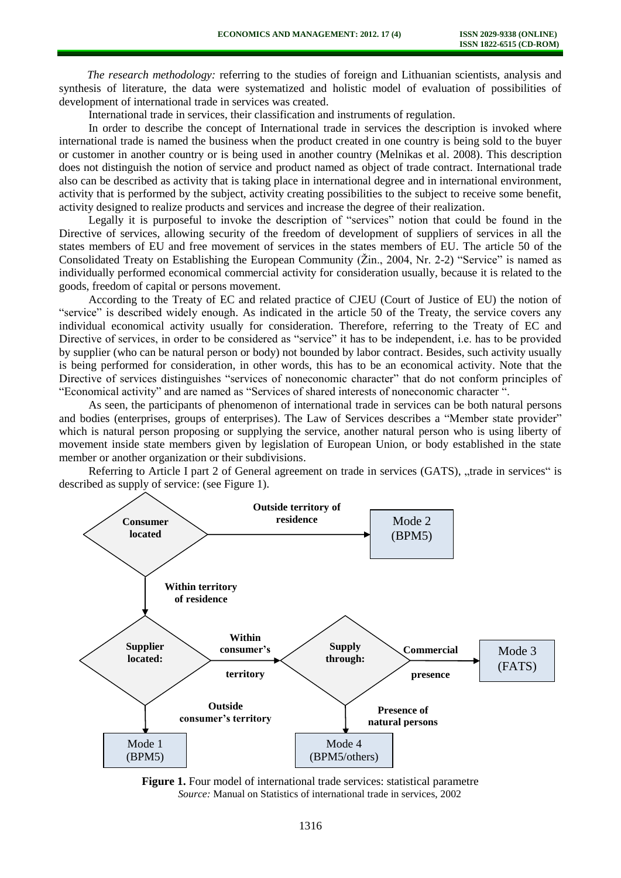*The research methodology:* referring to the studies of foreign and Lithuanian scientists, analysis and synthesis of literature, the data were systematized and holistic model of evaluation of possibilities of development of international trade in services was created.

International trade in services, their classification and instruments of regulation.

In order to describe the concept of International trade in services the description is invoked where international trade is named the business when the product created in one country is being sold to the buyer or customer in another country or is being used in another country (Melnikas et al. 2008). This description does not distinguish the notion of service and product named as object of trade contract. International trade also can be described as activity that is taking place in international degree and in international environment, activity that is performed by the subject, activity creating possibilities to the subject to receive some benefit, activity designed to realize products and services and increase the degree of their realization.

Legally it is purposeful to invoke the description of "services" notion that could be found in the Directive of services, allowing security of the freedom of development of suppliers of services in all the states members of EU and free movement of services in the states members of EU. The article 50 of the Consolidated Treaty on Establishing the European Community (Žin., 2004, Nr. 2-2) "Service" is named as individually performed economical commercial activity for consideration usually, because it is related to the goods, freedom of capital or persons movement.

According to the Treaty of EC and related practice of CJEU (Court of Justice of EU) the notion of "service" is described widely enough. As indicated in the article 50 of the Treaty, the service covers any individual economical activity usually for consideration. Therefore, referring to the Treaty of EC and Directive of services, in order to be considered as "service" it has to be independent, i.e. has to be provided by supplier (who can be natural person or body) not bounded by labor contract. Besides, such activity usually is being performed for consideration, in other words, this has to be an economical activity. Note that the Directive of services distinguishes "services of noneconomic character" that do not conform principles of "Economical activity" and are named as "Services of shared interests of noneconomic character ".

As seen, the participants of phenomenon of international trade in services can be both natural persons and bodies (enterprises, groups of enterprises). The Law of Services describes a "Member state provider" which is natural person proposing or supplying the service, another natural person who is using liberty of movement inside state members given by legislation of European Union, or body established in the state member or another organization or their subdivisions.

Referring to Article I part 2 of General agreement on trade in services (GATS), "trade in services" is described as supply of service: (see Figure 1).



**Figure 1.** Four model of international trade services: statistical parametre *Source:* Manual on Statistics of international trade in services, 2002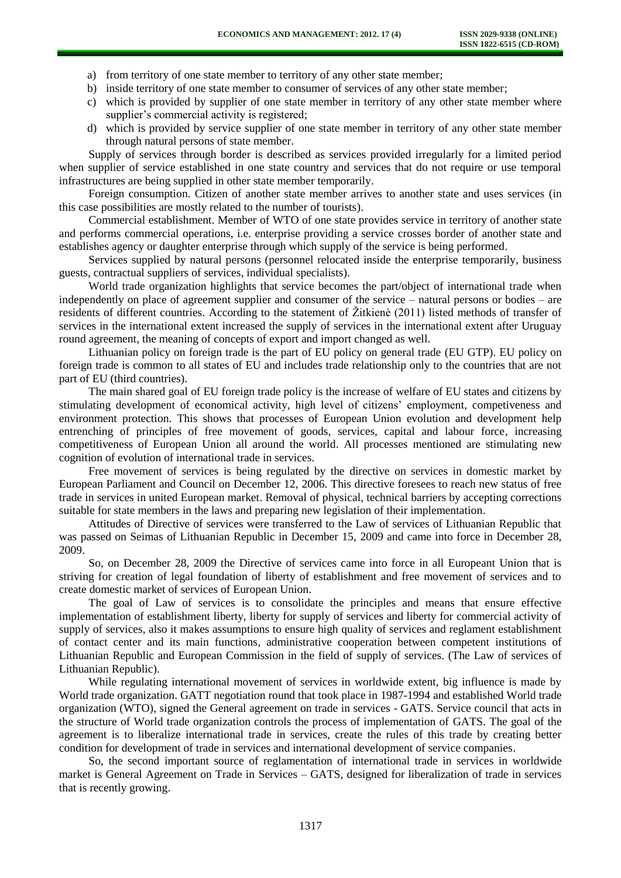- a) from territory of one state member to territory of any other state member;
- b) inside territory of one state member to consumer of services of any other state member;
- c) which is provided by supplier of one state member in territory of any other state member where supplier's commercial activity is registered;
- d) which is provided by service supplier of one state member in territory of any other state member through natural persons of state member.

Supply of services through border is described as services provided irregularly for a limited period when supplier of service established in one state country and services that do not require or use temporal infrastructures are being supplied in other state member temporarily.

Foreign consumption. Citizen of another state member arrives to another state and uses services (in this case possibilities are mostly related to the number of tourists).

Commercial establishment. Member of WTO of one state provides service in territory of another state and performs commercial operations, i.e. enterprise providing a service crosses border of another state and establishes agency or daughter enterprise through which supply of the service is being performed.

Services supplied by natural persons (personnel relocated inside the enterprise temporarily, business guests, contractual suppliers of services, individual specialists).

World trade organization highlights that service becomes the part/object of international trade when independently on place of agreement supplier and consumer of the service – natural persons or bodies – are residents of different countries. According to the statement of Žitkienė (2011) listed methods of transfer of services in the international extent increased the supply of services in the international extent after Uruguay round agreement, the meaning of concepts of export and import changed as well.

Lithuanian policy on foreign trade is the part of EU policy on general trade (EU GTP). EU policy on foreign trade is common to all states of EU and includes trade relationship only to the countries that are not part of EU (third countries).

The main shared goal of EU foreign trade policy is the increase of welfare of EU states and citizens by stimulating development of economical activity, high level of citizens' employment, competiveness and environment protection. This shows that processes of European Union evolution and development help entrenching of principles of free movement of goods, services, capital and labour force, increasing competitiveness of European Union all around the world. All processes mentioned are stimulating new cognition of evolution of international trade in services.

Free movement of services is being regulated by the directive on services in domestic market by European Parliament and Council on December 12, 2006. This directive foresees to reach new status of free trade in services in united European market. Removal of physical, technical barriers by accepting corrections suitable for state members in the laws and preparing new legislation of their implementation.

Attitudes of Directive of services were transferred to the Law of services of Lithuanian Republic that was passed on Seimas of Lithuanian Republic in December 15, 2009 and came into force in December 28, 2009.

So, on December 28, 2009 the Directive of services came into force in all Europeant Union that is striving for creation of legal foundation of liberty of establishment and free movement of services and to create domestic market of services of European Union.

The goal of Law of services is to consolidate the principles and means that ensure effective implementation of establishment liberty, liberty for supply of services and liberty for commercial activity of supply of services, also it makes assumptions to ensure high quality of services and reglament establishment of contact center and its main functions, administrative cooperation between competent institutions of Lithuanian Republic and European Commission in the field of supply of services. (The Law of services of Lithuanian Republic).

While regulating international movement of services in worldwide extent, big influence is made by World trade organization. GATT negotiation round that took place in 1987-1994 and established World trade organization (WTO), signed the General agreement on trade in services - GATS. Service council that acts in the structure of World trade organization controls the process of implementation of GATS. The goal of the agreement is to liberalize international trade in services, create the rules of this trade by creating better condition for development of trade in services and international development of service companies.

So, the second important source of reglamentation of international trade in services in worldwide market is General Agreement on Trade in Services – GATS, designed for liberalization of trade in services that is recently growing.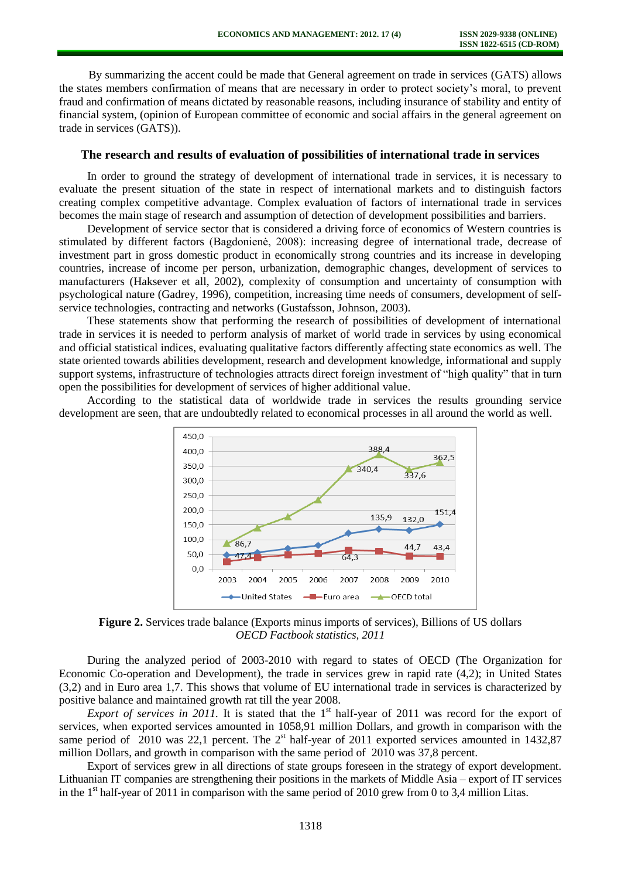By summarizing the accent could be made that General agreement on trade in services (GATS) allows the states members confirmation of means that are necessary in order to protect society's moral, to prevent fraud and confirmation of means dictated by reasonable reasons, including insurance of stability and entity of financial system, (opinion of European committee of economic and social affairs in the general agreement on trade in services (GATS)).

#### **The research and results of evaluation of possibilities of international trade in services**

In order to ground the strategy of development of international trade in services, it is necessary to evaluate the present situation of the state in respect of international markets and to distinguish factors creating complex competitive advantage. Complex evaluation of factors of international trade in services becomes the main stage of research and assumption of detection of development possibilities and barriers.

Development of service sector that is considered a driving force of economics of Western countries is stimulated by different factors (Bagdonienė, 2008): increasing degree of international trade, decrease of investment part in gross domestic product in economically strong countries and its increase in developing countries, increase of income per person, urbanization, demographic changes, development of services to manufacturers (Haksever et all, 2002), complexity of consumption and uncertainty of consumption with psychological nature (Gadrey, 1996), competition, increasing time needs of consumers, development of selfservice technologies, contracting and networks (Gustafsson, Johnson, 2003).

These statements show that performing the research of possibilities of development of international trade in services it is needed to perform analysis of market of world trade in services by using economical and official statistical indices, evaluating qualitative factors differently affecting state economics as well. The state oriented towards abilities development, research and development knowledge, informational and supply support systems, infrastructure of technologies attracts direct foreign investment of "high quality" that in turn open the possibilities for development of services of higher additional value.

According to the statistical data of worldwide trade in services the results grounding service development are seen, that are undoubtedly related to economical processes in all around the world as well.



**Figure 2.** Services trade balance (Exports minus imports of services), Billions of US dollars *OECD Factbook statistics, 2011*

During the analyzed period of 2003-2010 with regard to states of OECD (The Organization for Economic Co-operation and Development), the trade in services grew in rapid rate (4,2); in United States (3,2) and in Euro area 1,7. This shows that volume of EU international trade in services is characterized by positive balance and maintained growth rat till the year 2008.

*Export of services in 2011*. It is stated that the  $1<sup>st</sup>$  half-year of 2011 was record for the export of services, when exported services amounted in 1058,91 million Dollars, and growth in comparison with the same period of  $\,2010$  was 22,1 percent. The  $2<sup>st</sup>$  half-year of 2011 exported services amounted in 1432,87 million Dollars, and growth in comparison with the same period of 2010 was 37,8 percent.

Export of services grew in all directions of state groups foreseen in the strategy of export development. Lithuanian IT companies are strengthening their positions in the markets of Middle Asia – export of IT services in the  $1<sup>st</sup>$  half-year of 2011 in comparison with the same period of 2010 grew from 0 to 3,4 million Litas.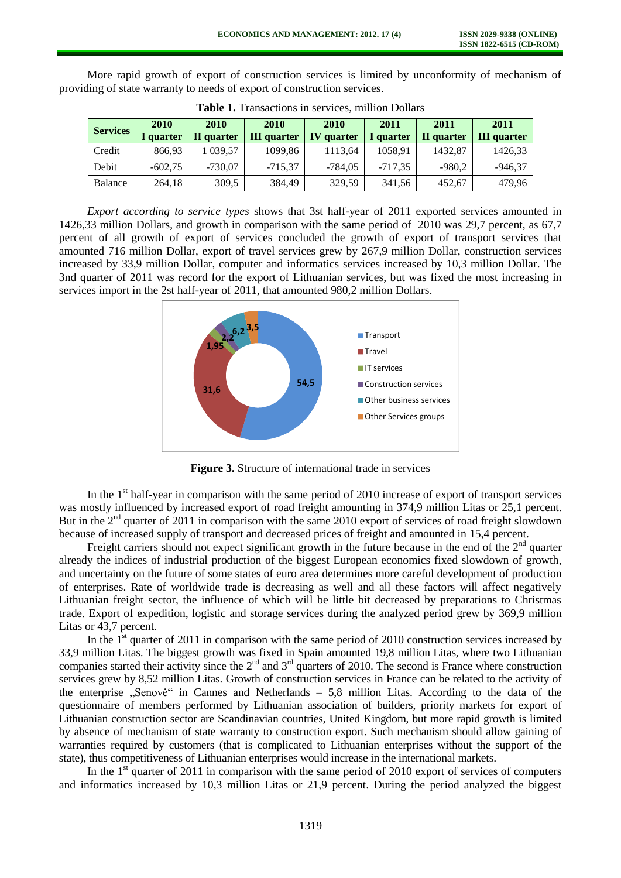More rapid growth of export of construction services is limited by unconformity of mechanism of providing of state warranty to needs of export of construction services.

| <b>Services</b> | 2010<br>I quarter | 2010<br>II quarter | 2010<br><b>III</b> quarter | <b>2010</b><br><b>IV</b> quarter | 2011<br>quarter | 2011<br>II quarter | 2011<br><b>III</b> quarter |
|-----------------|-------------------|--------------------|----------------------------|----------------------------------|-----------------|--------------------|----------------------------|
| Credit          | 866.93            | 039.57             | 1099,86                    | 1113,64                          | 1058,91         | 1432,87            | 1426,33                    |
| Debit           | $-602,75$         | $-730,07$          | $-715,37$                  | $-784,05$                        | $-717.35$       | $-980,2$           | $-946,37$                  |
| Balance         | 264,18            | 309.5              | 384,49                     | 329.59                           | 341,56          | 452,67             | 479,96                     |

**Table 1.** Transactions in services, million Dollars

*Export according to service types* shows that 3st half-year of 2011 exported services amounted in 1426,33 million Dollars, and growth in comparison with the same period of 2010 was 29,7 percent, as 67,7 percent of all growth of export of services concluded the growth of export of transport services that amounted 716 million Dollar, export of travel services grew by 267,9 million Dollar, construction services increased by 33,9 million Dollar, computer and informatics services increased by 10,3 million Dollar. The 3nd quarter of 2011 was record for the export of Lithuanian services, but was fixed the most increasing in services import in the 2st half-year of 2011, that amounted 980,2 million Dollars.



**Figure 3.** Structure of international trade in services

In the  $1<sup>st</sup>$  half-year in comparison with the same period of 2010 increase of export of transport services was mostly influenced by increased export of road freight amounting in 374,9 million Litas or 25,1 percent. But in the 2<sup>nd</sup> quarter of 2011 in comparison with the same 2010 export of services of road freight slowdown because of increased supply of transport and decreased prices of freight and amounted in 15,4 percent.

Freight carriers should not expect significant growth in the future because in the end of the  $2<sup>nd</sup>$  quarter already the indices of industrial production of the biggest European economics fixed slowdown of growth, and uncertainty on the future of some states of euro area determines more careful development of production of enterprises. Rate of worldwide trade is decreasing as well and all these factors will affect negatively Lithuanian freight sector, the influence of which will be little bit decreased by preparations to Christmas trade. Export of expedition, logistic and storage services during the analyzed period grew by 369,9 million Litas or 43,7 percent.

In the  $1<sup>st</sup>$  quarter of 2011 in comparison with the same period of 2010 construction services increased by 33,9 million Litas. The biggest growth was fixed in Spain amounted 19,8 million Litas, where two Lithuanian companies started their activity since the 2<sup>nd</sup> and 3<sup>rd</sup> quarters of 2010. The second is France where construction services grew by 8,52 million Litas. Growth of construction services in France can be related to the activity of the enterprise  $\mathbb{R}$ Senovė" in Cannes and Netherlands – 5,8 million Litas. According to the data of the questionnaire of members performed by Lithuanian association of builders, priority markets for export of Lithuanian construction sector are Scandinavian countries, United Kingdom, but more rapid growth is limited by absence of mechanism of state warranty to construction export. Such mechanism should allow gaining of warranties required by customers (that is complicated to Lithuanian enterprises without the support of the state), thus competitiveness of Lithuanian enterprises would increase in the international markets.

In the  $1<sup>st</sup>$  quarter of 2011 in comparison with the same period of 2010 export of services of computers and informatics increased by 10,3 million Litas or 21,9 percent. During the period analyzed the biggest